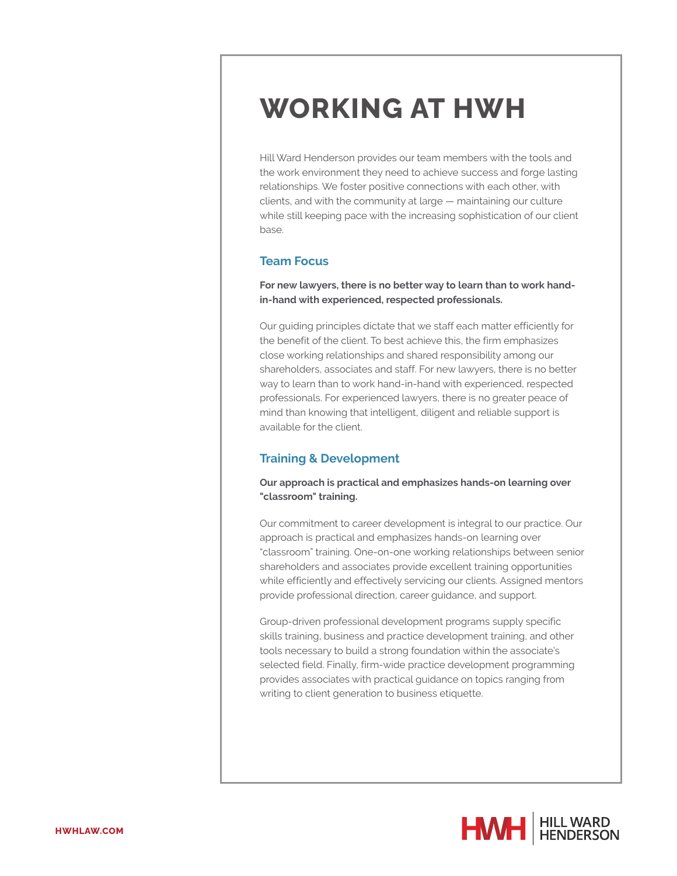# **WORKING AT HWH**

Hill Ward Henderson provides our team members with the tools and the work environment they need to achieve success and forge lasting relationships. We foster positive connections with each other, with clients, and with the community at large — maintaining our culture while still keeping pace with the increasing sophistication of our client base.

## **Team Focus**

**For new lawyers, there is no better way to learn than to work handin-hand with experienced, respected professionals.**

Our guiding principles dictate that we staff each matter efficiently for the benefit of the client. To best achieve this, the firm emphasizes close working relationships and shared responsibility among our shareholders, associates and staff. For new lawyers, there is no better way to learn than to work hand-in-hand with experienced, respected professionals. For experienced lawyers, there is no greater peace of mind than knowing that intelligent, diligent and reliable support is available for the client.

## **Training & Development**

**Our approach is practical and emphasizes hands-on learning over "classroom" training.**

Our commitment to career development is integral to our practice. Our approach is practical and emphasizes hands-on learning over "classroom" training. One-on-one working relationships between senior shareholders and associates provide excellent training opportunities while efficiently and effectively servicing our clients. Assigned mentors provide professional direction, career guidance, and support.

Group-driven professional development programs supply specific skills training, business and practice development training, and other tools necessary to build a strong foundation within the associate's selected field. Finally, firm-wide practice development programming provides associates with practical guidance on topics ranging from writing to client generation to business etiquette.